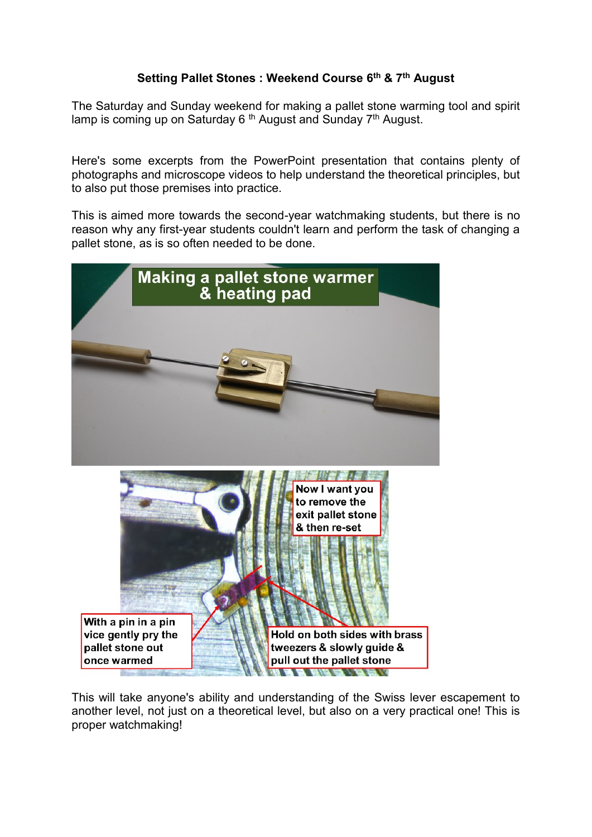## **Setting Pallet Stones : Weekend Course 6 th & 7th August**

The Saturday and Sunday weekend for making a pallet stone warming tool and spirit lamp is coming up on Saturday 6<sup>th</sup> August and Sunday 7<sup>th</sup> August.

Here's some excerpts from the PowerPoint presentation that contains plenty of photographs and microscope videos to help understand the theoretical principles, but to also put those premises into practice.

This is aimed more towards the second-year watchmaking students, but there is no reason why any first-year students couldn't learn and perform the task of changing a pallet stone, as is so often needed to be done.



This will take anyone's ability and understanding of the Swiss lever escapement to another level, not just on a theoretical level, but also on a very practical one! This is proper watchmaking!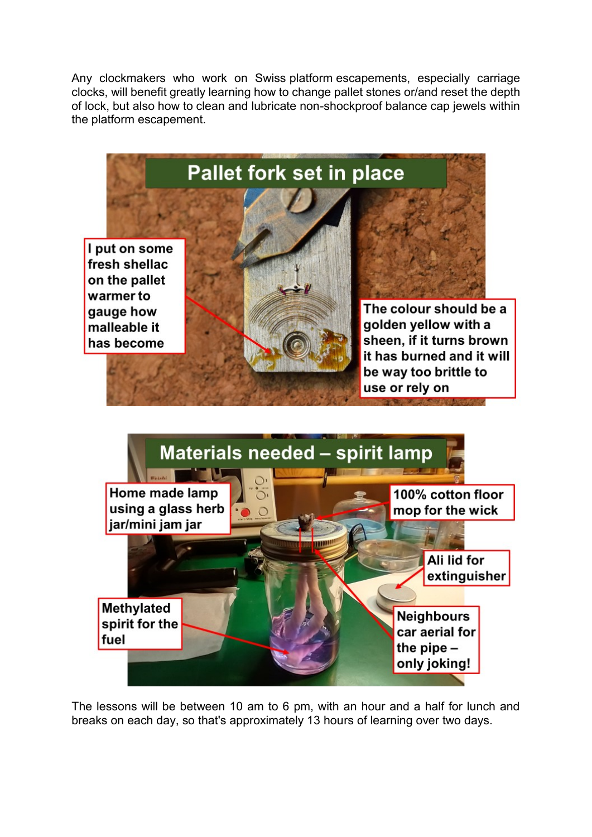Any clockmakers who work on Swiss platform escapements, especially carriage clocks, will benefit greatly learning how to change pallet stones or/and reset the depth of lock, but also how to clean and lubricate non-shockproof balance cap jewels within the platform escapement.



The lessons will be between 10 am to 6 pm, with an hour and a half for lunch and breaks on each day, so that's approximately 13 hours of learning over two days.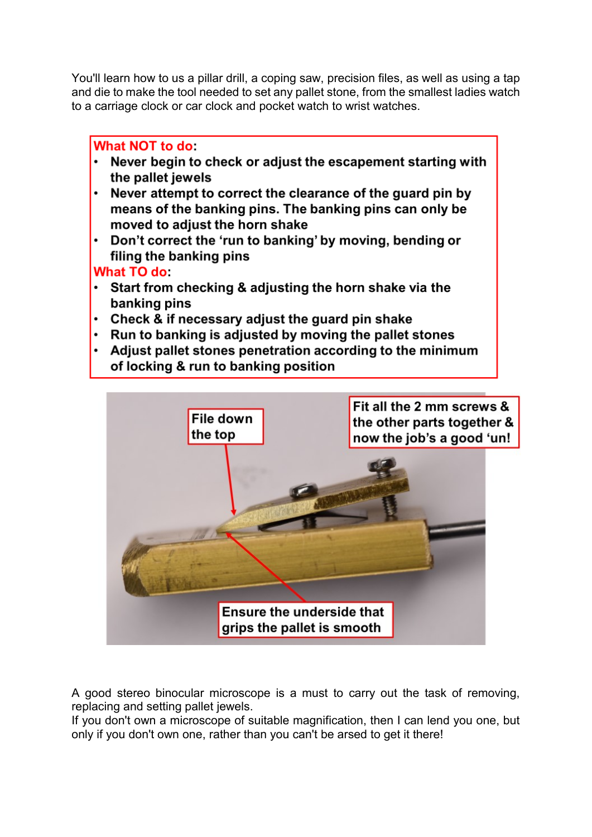You'll learn how to us a pillar drill, a coping saw, precision files, as well as using a tap and die to make the tool needed to set any pallet stone, from the smallest ladies watch to a carriage clock or car clock and pocket watch to wrist watches.

## What NOT to do:

- Never begin to check or adjust the escapement starting with the pallet jewels
- Never attempt to correct the clearance of the guard pin by means of the banking pins. The banking pins can only be moved to adjust the horn shake
- Don't correct the 'run to banking' by moving, bending or filing the banking pins

## What TO do:

- $\cdot$  Start from checking & adjusting the horn shake via the banking pins
- Check & if necessary adjust the guard pin shake
- $\cdot$  Run to banking is adjusted by moving the pallet stones
- Adjust pallet stones penetration according to the minimum of locking & run to banking position



A good stereo binocular microscope is a must to carry out the task of removing, replacing and setting pallet jewels.

If you don't own a microscope of suitable magnification, then I can lend you one, but only if you don't own one, rather than you can't be arsed to get it there!